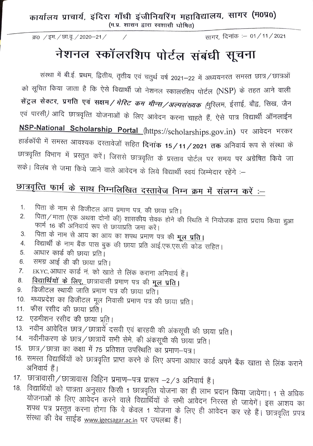कार्यालय प्राचार्य, इंदिरा गाँधी इंजीनियरिंग महाविद्यालय, सागर (म0प्रo)

 $(H, Y, \mathbb{R})$  शासन द्वारा स्वशासी घोषित)

*क0 / इम. / छा.वू. / 2020-21 /* 

सागर, दिनांक :– 01 / 11 / 2021

## नेशनल स्कॉलरशिप पोर्टल संबंधी सूचना

संस्था में बी.ई. प्रथम, द्वितीय, तृतीय एवं चतुर्थ वर्ष 2021—22 में अध्ययनरत समस्त छात्र ⁄ छात्रओं को सूचित किया जाता है कि ऐसे विद्यार्थी जो नेशनल स्कालरशिप पोर्टल (NSP) के तहत आने वाली  $\vec{r}$ सेंट्रल सेक्टर, प्रगति एवं सक्षम*/ मेरिट कम मीन्स/अल्पसंख्यक (*मुरिलम, ईसाई, बौद्व, सिख, जैन एवं पारसी*)* आदि छात्रवृत्ति योजनाओं के लिए आवेदन करना चाहते हैं, ऐसे पात्र विद्यार्थी ऑनलाईन RSP-National Scholarship Portal (https://scholarships.gov.in) पर आवेदन भरकर हार्डकॉपी में समस्त आवश्यक दस्तावेजों सहित **दिनांक 15 / 11 / 2021 तक** अनिवार्य रूप से संस्था के छात्रवृत्ति विभाग में प्रस्तुत करें। जिससे छात्रवृत्ति के प्रस्ताव पोर्टल पर समय पर अग्रेषित किये जा सके। विलंब से जमा किये जाने वाले आवेदन के लिये विद्यार्थी स्वयं जिम्मेदार रहेंगे :—

## **91?f <!Ra lJ>lll** <sup>~</sup>**"frl~ P(9~fuia G«il~\ii** ~ **wlJ** *if* ~~ ~ :-

- 1. पिता के नाम से डिजीटल आय प्रमाण पत्र, की छाया प्रति।<br>2. पिता / माता (एक अशवा दोनों की) गुपापुरीप केन्द्र को क्ष
- पिता / माता (एक अथवा दोनों की) शासकीय सेवक होने की स्थिति में नियोजक द्वारा प्रदाय किया हुआ फार्म 16 की अनिवार्य रूप से छायाप्रति जमा करें।
- 3. पिता के नाम से आय का आय का शपथ प्रमाण पत्र की <u>मूल प्रति।</u><br>4. विद्यार्थी के नाम बैंक पास बुक की छाग्य पनि शार्ट पुष्ट एक उने उने
- 4. विद्यार्थी के नाम बैंक पास बुक की छाया प्रति आई.एफ.एस.सी कोड सहित।
- 5. आधार कार्ड की छाया प्रति।
- 6. समग्र आई डी की छाया प्रति।
- 7. EKYC,आधार कार्ड नं. को खाते से लिंक कराना अनिवार्य हैं।
- 8. <u>विद्यार्थियों के लिए, छात्रावासी प्रमाण पत्र की मू</u>ल प्रति।
- 9. डिजीटल स्थायी जाति प्रमाण पत्र की छाया प्रति।
- 10. मध्यप्रदेश का डिजीटल मूल निवासी प्रमाण पत्र की छाया प्रति।
- 11. फीस रसीद की छाया प्रति।
- 12. एडमीशन रसीद की छाया प्रति।
- 13. नवीन आवेदित छात्र / छात्रार्ये दसवी एवं बारहवी की अंकसूची की छाया प्रति |
- 14. नवीनीकरण के छात्र ⁄ छात्रायें सभी सेमे. की अंकसूची की छाया प्रति।
- 15. छात्र/छात्रा का कक्षा में 75 प्रतिशत उपस्थिति का प्रमाण-पत्र।
- 16. समस्त विद्यार्थियों को छात्रवृत्ति प्राप्त करने के लिए अपना आधार कार्ड अपने बैंक खाता से लिंक कराने अनिवार्य हैं।
- 17. छात्रावासी/छात्रावास विहिन प्रमाण-पत्र प्रारूप -2/3 अनिवार्य हैं।
- 18. विद्यार्थियो को पात्रता अनुसार किसी 1 छात्रवृत्ति योजना का ही लाभ प्रदान किया जायेगा। 1 योजनाओं के लिए आवेदन करने करने वाले विद्यार्थियों के सभी आवेदन निरस्त हो जायेगें। इस आशय का शपथ पत्र प्रस्तुत करना होगा कि वे केवल 1 योजना के लिए ही आवेदन कर रहे हैं। छात्रवृत्ति प्रपत्र संस्था की वेब साईड www.igecsagar.ac.in पर उपलब्ध हैं।